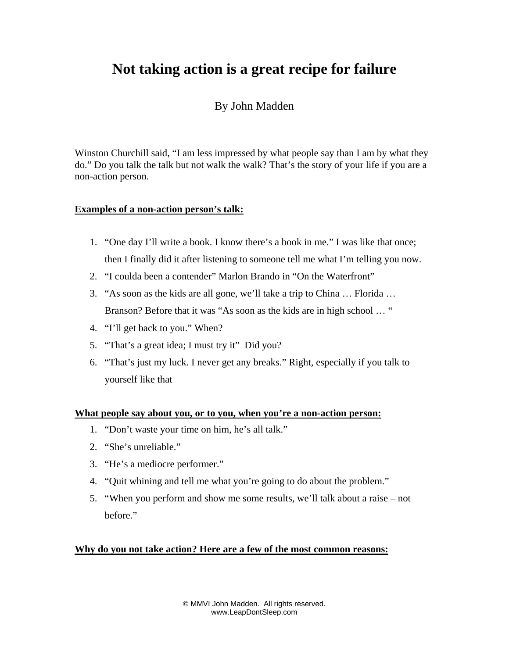# **Not taking action is a great recipe for failure**

# By John Madden

Winston Churchill said, "I am less impressed by what people say than I am by what they do." Do you talk the talk but not walk the walk? That's the story of your life if you are a non-action person.

## **Examples of a non-action person's talk:**

- 1. "One day I'll write a book. I know there's a book in me." I was like that once; then I finally did it after listening to someone tell me what I'm telling you now.
- 2. "I coulda been a contender" Marlon Brando in "On the Waterfront"
- 3. "As soon as the kids are all gone, we'll take a trip to China … Florida … Branson? Before that it was "As soon as the kids are in high school … "
- 4. "I'll get back to you." When?
- 5. "That's a great idea; I must try it" Did you?
- 6. "That's just my luck. I never get any breaks." Right, especially if you talk to yourself like that

#### **What people say about you, or to you, when you're a non-action person:**

- 1. "Don't waste your time on him, he's all talk."
- 2. "She's unreliable."
- 3. "He's a mediocre performer."
- 4. "Quit whining and tell me what you're going to do about the problem."
- 5. "When you perform and show me some results, we'll talk about a raise not before."

#### **Why do you not take action? Here are a few of the most common reasons:**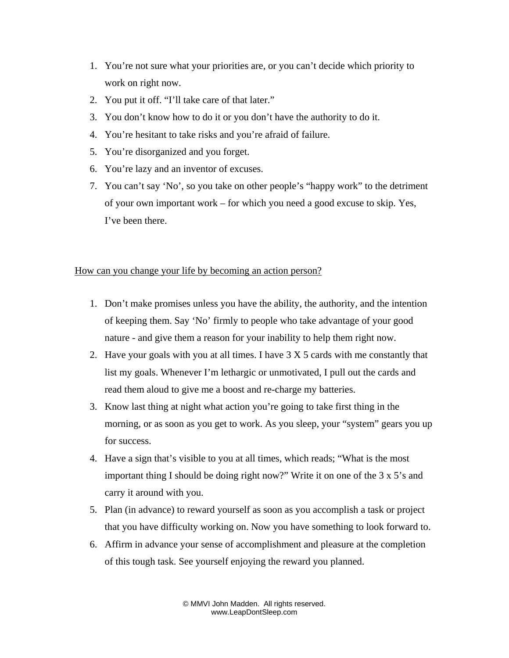- 1. You're not sure what your priorities are, or you can't decide which priority to work on right now.
- 2. You put it off. "I'll take care of that later."
- 3. You don't know how to do it or you don't have the authority to do it.
- 4. You're hesitant to take risks and you're afraid of failure.
- 5. You're disorganized and you forget.
- 6. You're lazy and an inventor of excuses.
- 7. You can't say 'No', so you take on other people's "happy work" to the detriment of your own important work – for which you need a good excuse to skip. Yes, I've been there.

### How can you change your life by becoming an action person?

- 1. Don't make promises unless you have the ability, the authority, and the intention of keeping them. Say 'No' firmly to people who take advantage of your good nature - and give them a reason for your inability to help them right now.
- 2. Have your goals with you at all times. I have 3 X 5 cards with me constantly that list my goals. Whenever I'm lethargic or unmotivated, I pull out the cards and read them aloud to give me a boost and re-charge my batteries.
- 3. Know last thing at night what action you're going to take first thing in the morning, or as soon as you get to work. As you sleep, your "system" gears you up for success.
- 4. Have a sign that's visible to you at all times, which reads; "What is the most important thing I should be doing right now?" Write it on one of the 3 x 5's and carry it around with you.
- 5. Plan (in advance) to reward yourself as soon as you accomplish a task or project that you have difficulty working on. Now you have something to look forward to.
- 6. Affirm in advance your sense of accomplishment and pleasure at the completion of this tough task. See yourself enjoying the reward you planned.